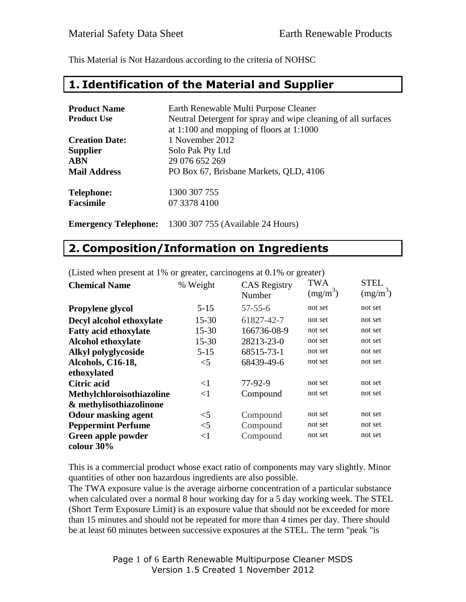This Material is Not Hazardous according to the criteria of NOHSC

#### **1. Identification of the Material and Supplier**

| <b>Product Name</b>         | Earth Renewable Multi Purpose Cleaner                         |
|-----------------------------|---------------------------------------------------------------|
| <b>Product Use</b>          | Neutral Detergent for spray and wipe cleaning of all surfaces |
|                             | at 1:100 and mopping of floors at $1:1000$                    |
| <b>Creation Date:</b>       | 1 November 2012                                               |
| <b>Supplier</b>             | Solo Pak Pty Ltd                                              |
| <b>ABN</b>                  | 29 076 652 269                                                |
| <b>Mail Address</b>         | PO Box 67, Brisbane Markets, QLD, 4106                        |
| <b>Telephone:</b>           | 1300 307 755                                                  |
| <b>Facsimile</b>            | 07 3378 4100                                                  |
| <b>Emergency Telephone:</b> | 1300 307 755 (Available 24 Hours)                             |

#### **2. Composition/Information on Ingredients**

| <b>Chemical Name</b>         | % Weight  | <b>CAS</b> Registry<br>Number | <b>TWA</b><br>$(mg/m^3)$ | <b>STEL</b><br>$(mg/m^3)$ |
|------------------------------|-----------|-------------------------------|--------------------------|---------------------------|
| Propylene glycol             | $5 - 15$  | $57 - 55 - 6$                 | not set                  | not set                   |
| Decyl alcohol ethoxylate     | $15 - 30$ | 61827-42-7                    | not set                  | not set                   |
| <b>Fatty acid ethoxylate</b> | $15 - 30$ | 166736-08-9                   | not set                  | not set                   |
| <b>Alcohol ethoxylate</b>    | $15 - 30$ | 28213-23-0                    | not set                  | not set                   |
| Alkyl polyglycoside          | $5 - 15$  | 68515-73-1                    | not set                  | not set                   |
| Alcohols, C16-18,            | $<$ 5     | 68439-49-6                    | not set                  | not set                   |
| ethoxylated                  |           |                               |                          |                           |
| <b>Citric acid</b>           | $\leq$ 1  | 77-92-9                       | not set                  | not set                   |
| Methylchloroisothiazoline    | $<$ 1     | Compound                      | not set                  | not set                   |
| & methylisothiazolinone      |           |                               |                          |                           |
| <b>Odour masking agent</b>   | $<$ 5     | Compound                      | not set                  | not set                   |
| <b>Peppermint Perfume</b>    | $<$ 5     | Compound                      | not set                  | not set                   |
| Green apple powder           | $<$ 1     | Compound                      | not set                  | not set                   |
| colour $30\%$                |           |                               |                          |                           |

(Listed when present at 1% or greater, carcinogens at 0.1% or greater)

This is a commercial product whose exact ratio of components may vary slightly. Minor quantities of other non hazardous ingredients are also possible.

The TWA exposure value is the average airborne concentration of a particular substance when calculated over a normal 8 hour working day for a 5 day working week. The STEL (Short Term Exposure Limit) is an exposure value that should not be exceeded for more than 15 minutes and should not be repeated for more than 4 times per day. There should be at least 60 minutes between successive exposures at the STEL. The term "peak "is

> Page 1 of 6 Earth Renewable Multipurpose Cleaner MSDS Version 1.5 Created 1 November 2012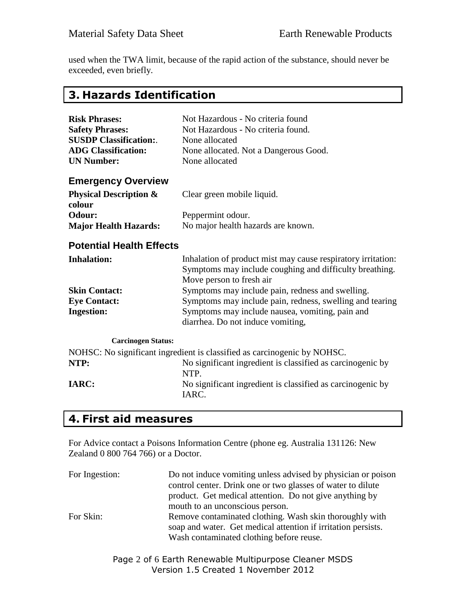used when the TWA limit, because of the rapid action of the substance, should never be exceeded, even briefly.

# **3. Hazards Identification**

| <b>Risk Phrases:</b><br><b>Safety Phrases:</b><br><b>SUSDP Classification:.</b><br><b>ADG Classification:</b><br><b>UN Number:</b> | Not Hazardous - No criteria found<br>Not Hazardous - No criteria found.<br>None allocated<br>None allocated. Not a Dangerous Good.<br>None allocated |
|------------------------------------------------------------------------------------------------------------------------------------|------------------------------------------------------------------------------------------------------------------------------------------------------|
| <b>Emergency Overview</b>                                                                                                          |                                                                                                                                                      |
| <b>Physical Description &amp;</b><br>colour                                                                                        | Clear green mobile liquid.                                                                                                                           |
| Odour:                                                                                                                             | Peppermint odour.                                                                                                                                    |
| <b>Major Health Hazards:</b>                                                                                                       | No major health hazards are known.                                                                                                                   |
| <b>Potential Health Effects</b>                                                                                                    |                                                                                                                                                      |
| <b>Inhalation:</b>                                                                                                                 | Inhalation of product mist may cause respiratory irritation:<br>Symptoms may include coughing and difficulty breathing.<br>Move person to fresh air  |
| <b>Skin Contact:</b>                                                                                                               | Symptoms may include pain, redness and swelling.                                                                                                     |
| <b>Eye Contact:</b>                                                                                                                | Symptoms may include pain, redness, swelling and tearing                                                                                             |
| <b>Ingestion:</b>                                                                                                                  | Symptoms may include nausea, vomiting, pain and<br>diarrhea. Do not induce vomiting,                                                                 |
| <b>Carcinogen Status:</b>                                                                                                          |                                                                                                                                                      |
|                                                                                                                                    | NOHSC: No significant ingredient is classified as carcinogenic by NOHSC.                                                                             |
| NTP:                                                                                                                               | No significant ingredient is classified as carcinogenic by<br>NTP.                                                                                   |
| <b>IARC:</b>                                                                                                                       | No significant ingredient is classified as carcinogenic by<br>IARC.                                                                                  |

## **4. First aid measures**

For Advice contact a Poisons Information Centre (phone eg. Australia 131126: New Zealand 0 800 764 766) or a Doctor.

| For Ingestion: | Do not induce vomiting unless advised by physician or poison                                                                                                         |
|----------------|----------------------------------------------------------------------------------------------------------------------------------------------------------------------|
|                | control center. Drink one or two glasses of water to dilute                                                                                                          |
|                | product. Get medical attention. Do not give anything by                                                                                                              |
|                | mouth to an unconscious person.                                                                                                                                      |
| For Skin:      | Remove contaminated clothing. Wash skin thoroughly with<br>soap and water. Get medical attention if irritation persists.<br>Wash contaminated clothing before reuse. |

Page 2 of 6 Earth Renewable Multipurpose Cleaner MSDS Version 1.5 Created 1 November 2012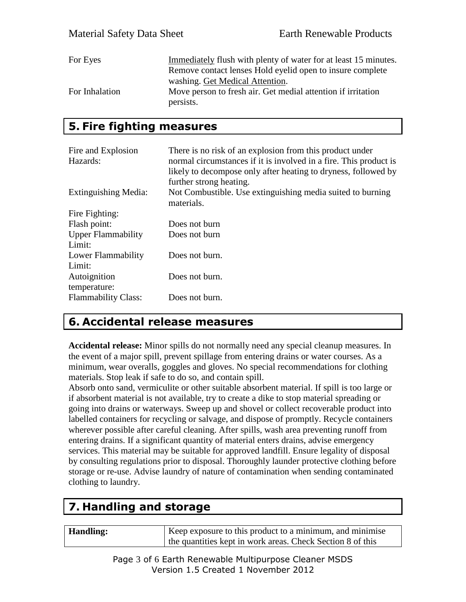| For Eyes       | Immediately flush with plenty of water for at least 15 minutes. |
|----------------|-----------------------------------------------------------------|
|                | Remove contact lenses Hold eyelid open to insure complete       |
|                | washing. Get Medical Attention.                                 |
| For Inhalation | Move person to fresh air. Get medial attention if irritation    |
|                | persists.                                                       |

#### **5. Fire fighting measures**

| Fire and Explosion<br>Hazards:      | There is no risk of an explosion from this product under<br>normal circumstances if it is involved in a fire. This product is<br>likely to decompose only after heating to dryness, followed by<br>further strong heating. |
|-------------------------------------|----------------------------------------------------------------------------------------------------------------------------------------------------------------------------------------------------------------------------|
| <b>Extinguishing Media:</b>         | Not Combustible. Use extinguishing media suited to burning<br>materials.                                                                                                                                                   |
| Fire Fighting:                      |                                                                                                                                                                                                                            |
| Flash point:                        | Does not burn                                                                                                                                                                                                              |
| <b>Upper Flammability</b><br>Limit: | Does not burn                                                                                                                                                                                                              |
| Lower Flammability<br>Limit:        | Does not burn.                                                                                                                                                                                                             |
| Autoignition<br>temperature:        | Does not burn.                                                                                                                                                                                                             |
| <b>Flammability Class:</b>          | Does not burn.                                                                                                                                                                                                             |

### **6. Accidental release measures**

**Accidental release:** Minor spills do not normally need any special cleanup measures. In the event of a major spill, prevent spillage from entering drains or water courses. As a minimum, wear overalls, goggles and gloves. No special recommendations for clothing materials. Stop leak if safe to do so, and contain spill.

Absorb onto sand, vermiculite or other suitable absorbent material. If spill is too large or if absorbent material is not available, try to create a dike to stop material spreading or going into drains or waterways. Sweep up and shovel or collect recoverable product into labelled containers for recycling or salvage, and dispose of promptly. Recycle containers wherever possible after careful cleaning. After spills, wash area preventing runoff from entering drains. If a significant quantity of material enters drains, advise emergency services. This material may be suitable for approved landfill. Ensure legality of disposal by consulting regulations prior to disposal. Thoroughly launder protective clothing before storage or re-use. Advise laundry of nature of contamination when sending contaminated clothing to laundry.

# **7. Handling and storage**

**Handling:** Keep exposure to this product to a minimum, and minimise the quantities kept in work areas. Check Section 8 of this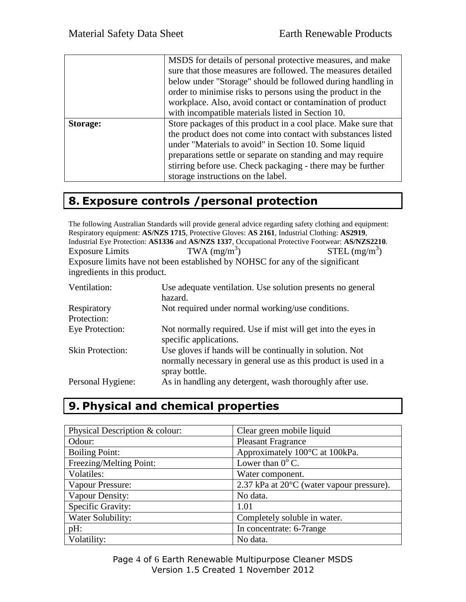|          | MSDS for details of personal protective measures, and make<br>sure that those measures are followed. The measures detailed<br>below under "Storage" should be followed during handling in<br>order to minimise risks to persons using the product in the<br>workplace. Also, avoid contact or contamination of product<br>with incompatible materials listed in Section 10. |
|----------|-----------------------------------------------------------------------------------------------------------------------------------------------------------------------------------------------------------------------------------------------------------------------------------------------------------------------------------------------------------------------------|
| Storage: | Store packages of this product in a cool place. Make sure that<br>the product does not come into contact with substances listed<br>under "Materials to avoid" in Section 10. Some liquid<br>preparations settle or separate on standing and may require<br>stirring before use. Check packaging - there may be further<br>storage instructions on the label.                |

# **8. Exposure controls /personal protection**

The following Australian Standards will provide general advice regarding safety clothing and equipment: Respiratory equipment: **AS/NZS 1715**, Protective Gloves: **AS 2161**, Industrial Clothing: **AS2919**, Industrial Eye Protection: **AS1336** and **AS/NZS 1337**, Occupational Protective Footwear: **AS/NZS2210**. Exposure Limits TWA  $(mg/m<sup>3</sup>)$  $STEL (mg/m<sup>3</sup>)$ Exposure limits have not been established by NOHSC for any of the significant ingredients in this product.

| Ventilation:            | Use adequate ventilation. Use solution presents no general<br>hazard.                                                                       |
|-------------------------|---------------------------------------------------------------------------------------------------------------------------------------------|
| Respiratory             | Not required under normal working/use conditions.                                                                                           |
| Protection:             |                                                                                                                                             |
| Eye Protection:         | Not normally required. Use if mist will get into the eyes in<br>specific applications.                                                      |
| <b>Skin Protection:</b> | Use gloves if hands will be continually in solution. Not<br>normally necessary in general use as this product is used in a<br>spray bottle. |
| Personal Hygiene:       | As in handling any detergent, wash thoroughly after use.                                                                                    |

# **9. Physical and chemical properties**

| Physical Description & colour: | Clear green mobile liquid                             |
|--------------------------------|-------------------------------------------------------|
| Odour:                         | <b>Pleasant Fragrance</b>                             |
| <b>Boiling Point:</b>          | Approximately 100°C at 100kPa.                        |
| Freezing/Melting Point:        | Lower than $0^{\circ}$ C.                             |
| Volatiles:                     | Water component.                                      |
| Vapour Pressure:               | $2.37$ kPa at $20^{\circ}$ C (water vapour pressure). |
| Vapour Density:                | No data.                                              |
| Specific Gravity:              | 1.01                                                  |
| Water Solubility:              | Completely soluble in water.                          |
| pH:                            | In concentrate: 6-7range                              |
| Volatility:                    | No data.                                              |

Page 4 of 6 Earth Renewable Multipurpose Cleaner MSDS Version 1.5 Created 1 November 2012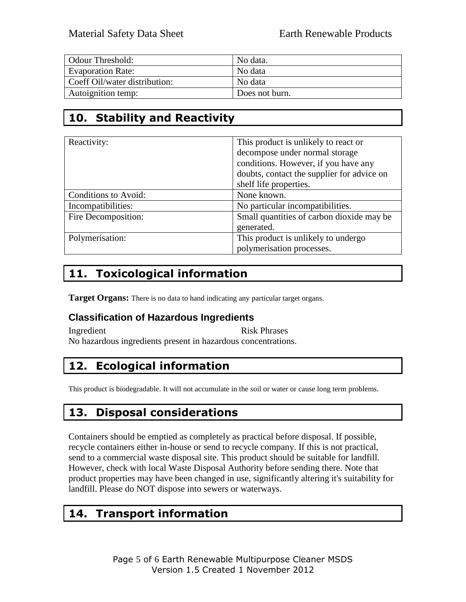| Odour Threshold:              | No data.       |
|-------------------------------|----------------|
| <b>Evaporation Rate:</b>      | No data        |
| Coeff Oil/water distribution: | No data        |
| Autoignition temp:            | Does not burn. |

# **10. Stability and Reactivity**

| Reactivity:          | This product is unlikely to react or       |
|----------------------|--------------------------------------------|
|                      | decompose under normal storage             |
|                      | conditions. However, if you have any       |
|                      | doubts, contact the supplier for advice on |
|                      | shelf life properties.                     |
| Conditions to Avoid: | None known.                                |
| Incompatibilities:   | No particular incompatibilities.           |
| Fire Decomposition:  | Small quantities of carbon dioxide may be  |
|                      | generated.                                 |
| Polymerisation:      | This product is unlikely to undergo        |
|                      | polymerisation processes.                  |

# **11. Toxicological information**

**Target Organs:** There is no data to hand indicating any particular target organs.

#### **Classification of Hazardous Ingredients**

Ingredient Risk Phrases No hazardous ingredients present in hazardous concentrations.

# **12. Ecological information**

This product is biodegradable. It will not accumulate in the soil or water or cause long term problems.

#### **13. Disposal considerations**

Containers should be emptied as completely as practical before disposal. If possible, recycle containers either in-house or send to recycle company. If this is not practical, send to a commercial waste disposal site. This product should be suitable for landfill. However, check with local Waste Disposal Authority before sending there. Note that product properties may have been changed in use, significantly altering it's suitability for landfill. Please do NOT dispose into sewers or waterways.

### **14. Transport information**